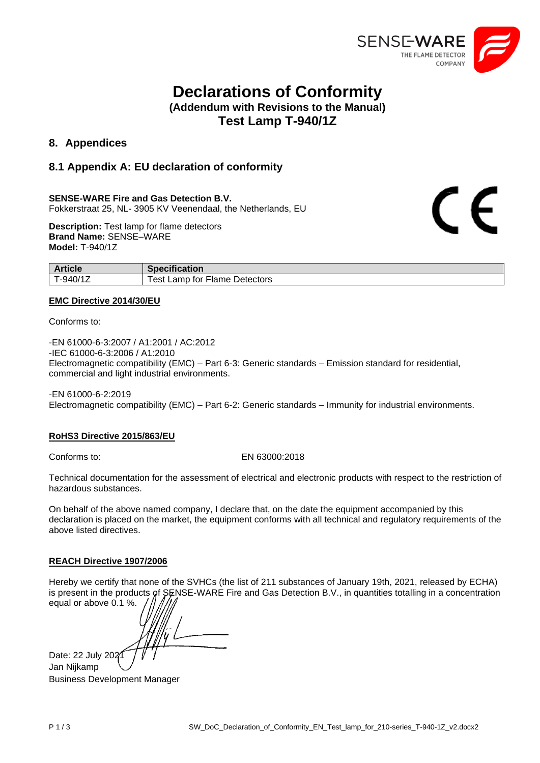

 $\epsilon$ 

# **Declarations of Conformity (Addendum with Revisions to the Manual)**

**Test Lamp T-940/1Z**

# **8. Appendices**

# **8.1 Appendix A: EU declaration of conformity**

### **SENSE-WARE Fire and Gas Detection B.V.**

Fokkerstraat 25, NL- 3905 KV Veenendaal, the Netherlands, EU

**Description:** Test lamp for flame detectors **Brand Name:** SENSE–WARE **Model:** T-940/1Z

| <b>Article</b> | <b>Specification</b>             |
|----------------|----------------------------------|
| T-940/1Z       | Detectors<br>Fest Lamp for Flame |

### **EMC Directive 2014/30/EU**

Conforms to:

-EN 61000-6-3:2007 / A1:2001 / AC:2012 -IEC 61000-6-3:2006 / A1:2010 Electromagnetic compatibility (EMC) – Part 6-3: Generic standards – Emission standard for residential, commercial and light industrial environments.

-EN 61000-6-2:2019 Electromagnetic compatibility (EMC) – Part 6-2: Generic standards – Immunity for industrial environments.

### **RoHS3 Directive 2015/863/EU**

### Conforms to: EN 63000:2018

Technical documentation for the assessment of electrical and electronic products with respect to the restriction of hazardous substances.

On behalf of the above named company, I declare that, on the date the equipment accompanied by this declaration is placed on the market, the equipment conforms with all technical and regulatory requirements of the above listed directives.

### **REACH Directive 1907/2006**

Hereby we certify that none of the SVHCs (the list of 211 substances of January 19th, 2021, released by ECHA) is present in the products of SENSE-WARE Fire and Gas Detection B.V., in quantities totalling in a concentration equal or above 0.1 %.

Date: 22 July 2021 Jan Nijkamp Business Development Manager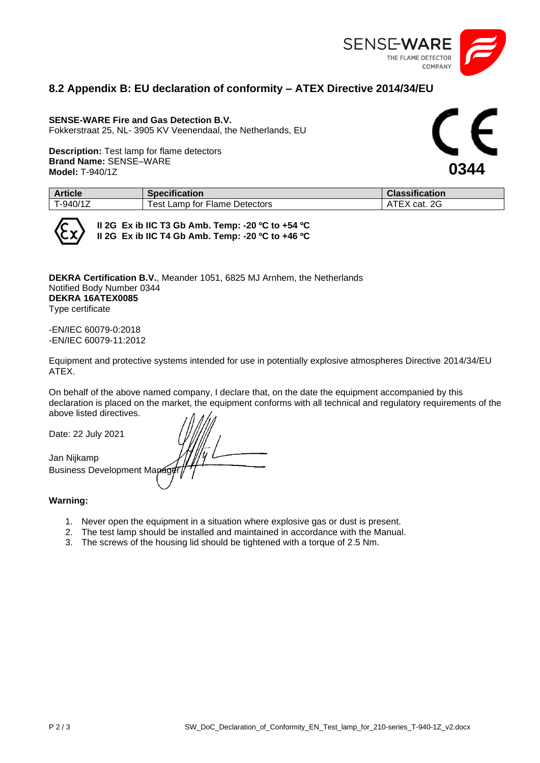

### **8.2 Appendix B: EU declaration of conformity – ATEX Directive 2014/34/EU**

### **SENSE-WARE Fire and Gas Detection B.V.**

Fokkerstraat 25, NL- 3905 KV Veenendaal, the Netherlands, EU

**Description:** Test lamp for flame detectors **Brand Name:** SENSE–WARE **Model:** T-940/1Z

**0344**

| <b>Article</b> | <b>Specification</b>                  | <b>Classification</b> |
|----------------|---------------------------------------|-----------------------|
| T-940/1Z       | ∵ Flame Detectors<br>'est<br>Lamp for | cat. 2G               |



**II 2G Ex ib IIC T3 Gb Amb. Temp: -20 ºC to +54 ºC II 2G Ex ib IIC T4 Gb Amb. Temp: -20 ºC to +46 ºC**

**DEKRA Certification B.V.**, Meander 1051, 6825 MJ Arnhem, the Netherlands Notified Body Number 0344 **DEKRA 16ATEX0085** Type certificate

-EN/IEC 60079-0:2018 -EN/IEC 60079-11:2012

Equipment and protective systems intended for use in potentially explosive atmospheres Directive 2014/34/EU ATEX.

On behalf of the above named company, I declare that, on the date the equipment accompanied by this declaration is placed on the market, the equipment conforms with all technical and regulatory requirements of the above listed directives.

Date: 22 July 2021

Jan Nijkamp Business Development Mapag

### **Warning:**

- 1. Never open the equipment in a situation where explosive gas or dust is present.
- 2. The test lamp should be installed and maintained in accordance with the Manual.
- 3. The screws of the housing lid should be tightened with a torque of 2.5 Nm.